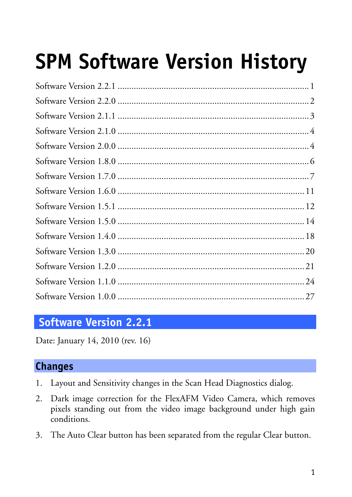# **[SPM Software Version History](#page-13-0)**

# **Software Version 2.2.1**

Date: January 14, 2010 (rev. 16)

#### **Changes**

- 1. Layout and Sensitivity changes in the Scan Head Diagnostics dialog.
- 2. Dark image correction for the FlexAFM Video Camera, which removes pixels standing out from the video image background under high gain conditions.
- 3. The Auto Clear button has been separated from the regular Clear button.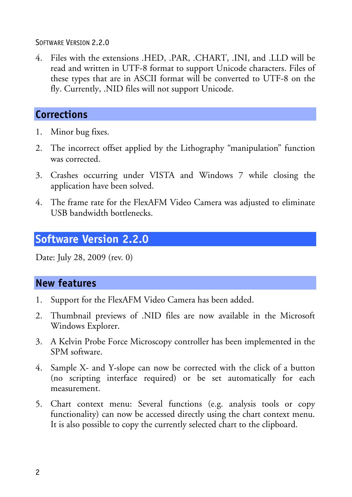SOFTWARE VERSION 2.2.0

4. Files with the extensions .HED, .PAR, .CHART, .INI, and .LLD will be read and written in UTF-8 format to support Unicode characters. Files of these types that are in ASCII format will be converted to UTF-8 on the fly. Currently, .NID files will not support Unicode.

# **Corrections**

- 1. Minor bug fixes.
- 2. The incorrect offset applied by the Lithography "manipulation" function was corrected.
- 3. Crashes occurring under VISTA and Windows 7 while closing the application have been solved.
- 4. The frame rate for the FlexAFM Video Camera was adjusted to eliminate USB bandwidth bottlenecks.

# **Software Version 2.2.0**

Date: July 28, 2009 (rev. 0)

- 1. Support for the FlexAFM Video Camera has been added.
- 2. Thumbnail previews of .NID files are now available in the Microsoft Windows Explorer.
- 3. A Kelvin Probe Force Microscopy controller has been implemented in the SPM software.
- 4. Sample X- and Y-slope can now be corrected with the click of a button (no scripting interface required) or be set automatically for each measurement.
- 5. Chart context menu: Several functions (e.g. analysis tools or copy functionality) can now be accessed directly using the chart context menu. It is also possible to copy the currently selected chart to the clipboard.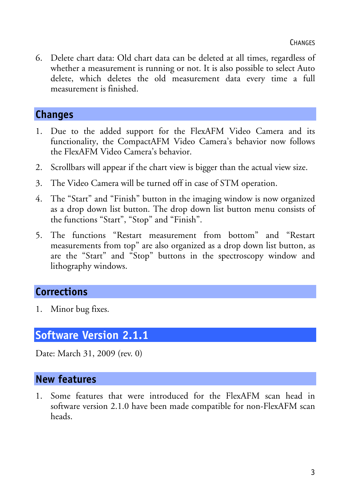6. Delete chart data: Old chart data can be deleted at all times, regardless of whether a measurement is running or not. It is also possible to select Auto delete, which deletes the old measurement data every time a full measurement is finished.

#### **Changes**

- 1. Due to the added support for the FlexAFM Video Camera and its functionality, the CompactAFM Video Camera's behavior now follows the FlexAFM Video Camera's behavior.
- 2. Scrollbars will appear if the chart view is bigger than the actual view size.
- 3. The Video Camera will be turned off in case of STM operation.
- 4. The "Start" and "Finish" button in the imaging window is now organized as a drop down list button. The drop down list button menu consists of the functions "Start", "Stop" and "Finish".
- 5. The functions "Restart measurement from bottom" and "Restart measurements from top" are also organized as a drop down list button, as are the "Start" and "Stop" buttons in the spectroscopy window and lithography windows.

# **Corrections**

1. Minor bug fixes.

# **Software Version 2.1.1**

Date: March 31, 2009 (rev. 0)

#### **New features**

1. Some features that were introduced for the FlexAFM scan head in software version 2.1.0 have been made compatible for non-FlexAFM scan heads.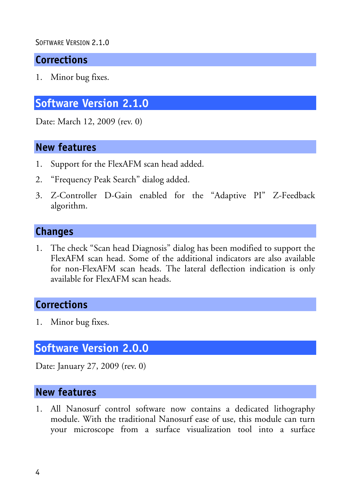#### SOFTWARE VERSTON 2.1.0

## **Corrections**

1. Minor bug fixes.

# **Software Version 2.1.0**

Date: March 12, 2009 (rev. 0)

#### **New features**

- 1. Support for the FlexAFM scan head added.
- 2. "Frequency Peak Search" dialog added.
- 3. Z-Controller D-Gain enabled for the "Adaptive PI" Z-Feedback algorithm.

#### **Changes**

1. The check "Scan head Diagnosis" dialog has been modified to support the FlexAFM scan head. Some of the additional indicators are also available for non-FlexAFM scan heads. The lateral deflection indication is only available for FlexAFM scan heads.

## **Corrections**

1. Minor bug fixes.

# **Software Version 2.0.0**

Date: January 27, 2009 (rev. 0)

#### **New features**

1. All Nanosurf control software now contains a dedicated lithography module. With the traditional Nanosurf ease of use, this module can turn your microscope from a surface visualization tool into a surface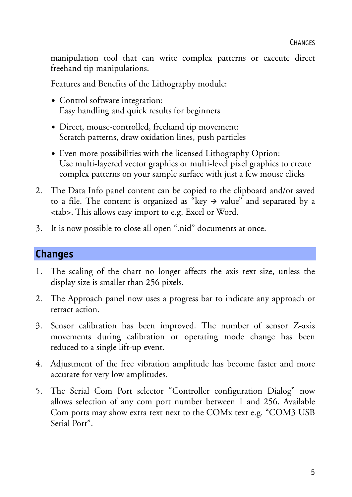manipulation tool that can write complex patterns or execute direct freehand tip manipulations.

Features and Benefits of the Lithography module:

- Control software integration: Easy handling and quick results for beginners
- Direct, mouse-controlled, freehand tip movement: Scratch patterns, draw oxidation lines, push particles
- Even more possibilities with the licensed Lithography Option: Use multi-layered vector graphics or multi-level pixel graphics to create complex patterns on your sample surface with just a few mouse clicks
- 2. The Data Info panel content can be copied to the clipboard and/or saved to a file. The content is organized as "key  $\rightarrow$  value" and separated by a <tab>. This allows easy import to e.g. Excel or Word.
- 3. It is now possible to close all open ".nid" documents at once.

#### **Changes**

- 1. The scaling of the chart no longer affects the axis text size, unless the display size is smaller than 256 pixels.
- 2. The Approach panel now uses a progress bar to indicate any approach or retract action.
- 3. Sensor calibration has been improved. The number of sensor Z-axis movements during calibration or operating mode change has been reduced to a single lift-up event.
- 4. Adjustment of the free vibration amplitude has become faster and more accurate for very low amplitudes.
- 5. The Serial Com Port selector "Controller configuration Dialog" now allows selection of any com port number between 1 and 256. Available Com ports may show extra text next to the COMx text e.g. "COM3 USB Serial Port".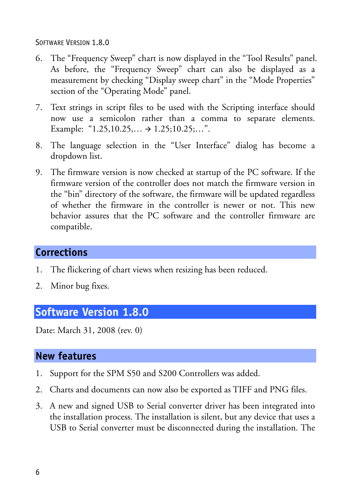SOFTWARE VERSION 1.8.0

- 6. The "Frequency Sweep" chart is now displayed in the "Tool Results" panel. As before, the "Frequency Sweep" chart can also be displayed as a measurement by checking "Display sweep chart" in the "Mode Properties" section of the "Operating Mode" panel.
- 7. Text strings in script files to be used with the Scripting interface should now use a semicolon rather than a comma to separate elements. Example: " $1.25, 10.25, \ldots$   $\rightarrow 1.25, 10.25, \ldots$ ".
- 8. The language selection in the "User Interface" dialog has become a dropdown list.
- 9. The firmware version is now checked at startup of the PC software. If the firmware version of the controller does not match the firmware version in the "bin" directory of the software, the firmware will be updated regardless of whether the firmware in the controller is newer or not. This new behavior assures that the PC software and the controller firmware are compatible.

## **Corrections**

- 1. The flickering of chart views when resizing has been reduced.
- 2. Minor bug fixes.

## **Software Version 1.8.0**

Date: March 31, 2008 (rev. 0)

- 1. Support for the SPM S50 and S200 Controllers was added.
- 2. Charts and documents can now also be exported as TIFF and PNG files.
- 3. A new and signed USB to Serial converter driver has been integrated into the installation process. The installation is silent, but any device that uses a USB to Serial converter must be disconnected during the installation. The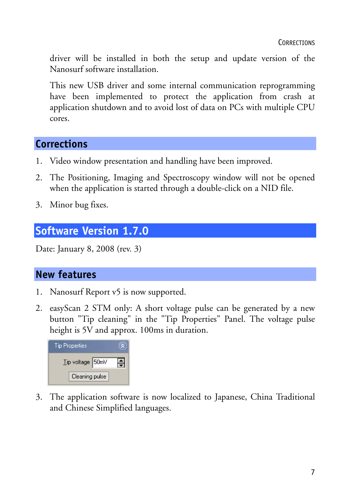driver will be installed in both the setup and update version of the Nanosurf software installation.

This new USB driver and some internal communication reprogramming have been implemented to protect the application from crash at application shutdown and to avoid lost of data on PCs with multiple CPU cores.

# **Corrections**

- 1. Video window presentation and handling have been improved.
- 2. The Positioning, Imaging and Spectroscopy window will not be opened when the application is started through a double-click on a NID file.
- 3. Minor bug fixes.

# **Software Version 1.7.0**

Date: January 8, 2008 (rev. 3)

## **New features**

- 1. Nanosurf Report v5 is now supported.
- 2. easyScan 2 STM only: A short voltage pulse can be generated by a new button "Tip cleaning" in the "Tip Properties" Panel. The voltage pulse height is 5V and approx. 100ms in duration.



3. The application software is now localized to Japanese, China Traditional and Chinese Simplified languages.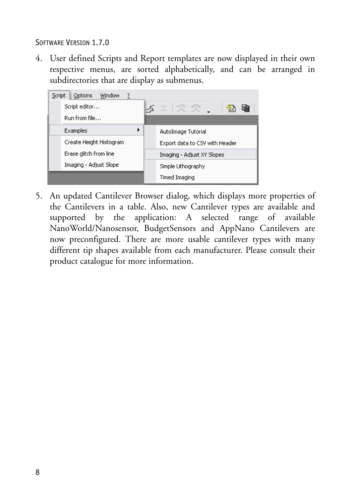SOFTWARE VERSION 1.7.0

4. User defined Scripts and Report templates are now displayed in their own respective menus, are sorted alphabetically, and can be arranged in subdirectories that are display as submenus.



5. An updated Cantilever Browser dialog, which displays more properties of the Cantilevers in a table. Also, new Cantilever types are available and supported by the application: A selected range of available NanoWorld/Nanosensor, BudgetSensors and AppNano Cantilevers are now preconfigured. There are more usable cantilever types with many different tip shapes available from each manufacturer. Please consult their product catalogue for more information.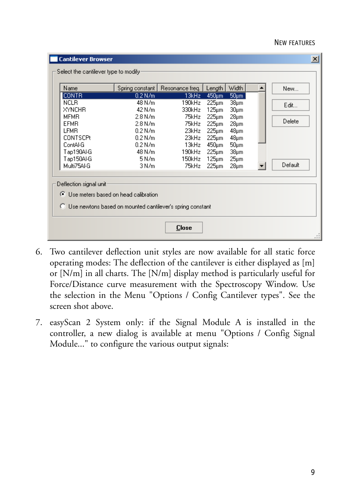#### NEW FEATURES

| Name                    |                                                                                                       | Spring constant   Resonance freq. | Length         | <b>Width</b>             | New     |
|-------------------------|-------------------------------------------------------------------------------------------------------|-----------------------------------|----------------|--------------------------|---------|
| <b>CONTR</b>            | $0.2$ N/m                                                                                             | 13kHz                             | 450um          | $50 \mu m$               |         |
| <b>NCLB</b>             | 48 N/m                                                                                                | 190kHz                            | 225µm          | 38 <sub>µm</sub>         | Edit    |
| <b>XYNCHR</b>           | 42 N/m                                                                                                | 330kHz                            | 125µm          | $30 \mu m$               |         |
| <b>MFMR</b>             | 2.8 N/m                                                                                               | 75kHz                             | 225µm          | $28 \mu m$               | Delete  |
| EFMB.<br>LFMR.          | 2.8 N/m<br>$0.2$ N/m.                                                                                 | 75kHz<br>23kHz                    | 225µm          | 28 <sub>µm</sub>         |         |
| <b>CONTSCPt</b>         | $0.2$ N/m                                                                                             | 23kHz                             | 225µm<br>225µm | $48 \mu m$<br>$48 \mu m$ |         |
| ContAl-G                | 0.2 N/m                                                                                               | 13kHz                             | 450µm          | $50 \mu m$               |         |
| Tap190Al-G              | 48 N/m                                                                                                | 190kHz                            | 225µm          | 38µm                     |         |
| Tap150Al-G              | 5 N/m                                                                                                 | 150kHz                            | 125µm          | $25 \mu m$               |         |
| Multi75AI-G             | 3 N/m                                                                                                 | 75kHz                             | 225µm          | $28 \mu m$               | Default |
| Deflection signal unit: | ◯ Use meters based on head calibration<br>◯ Use newtons based on mounted cantilever's spring constant |                                   |                |                          |         |

- 6. Two cantilever deflection unit styles are now available for all static force operating modes: The deflection of the cantilever is either displayed as [m] or [N/m] in all charts. The [N/m] display method is particularly useful for Force/Distance curve measurement with the Spectroscopy Window. Use the selection in the Menu "Options / Config Cantilever types". See the screen shot above.
- 7. easyScan 2 System only: if the Signal Module A is installed in the controller, a new dialog is available at menu "Options / Config Signal Module..." to configure the various output signals: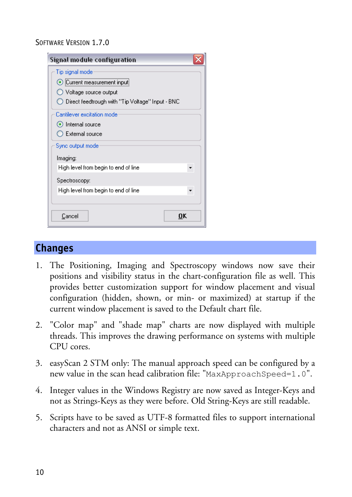#### SOFTWARE VERSION 1.7.0

| Signal module configuration                        |  |
|----------------------------------------------------|--|
| Tip signal mode                                    |  |
| Current measurement input                          |  |
| ◯ Voltage source output                            |  |
| ◯ Direct feedtrough with "Tip Voltage" Input - BNC |  |
| Cantilever excitation mode                         |  |
| lnternal source                                    |  |
| ◯ External source                                  |  |
| Sync output mode                                   |  |
| Imaging:                                           |  |
| High level from begin to end of line               |  |
| Spectroscopy:                                      |  |
| High level from begin to end of line               |  |
|                                                    |  |
| Cancel<br>OK                                       |  |

#### **Changes**

- 1. The Positioning, Imaging and Spectroscopy windows now save their positions and visibility status in the chart-configuration file as well. This provides better customization support for window placement and visual configuration (hidden, shown, or min- or maximized) at startup if the current window placement is saved to the Default chart file.
- 2. "Color map" and "shade map" charts are now displayed with multiple threads. This improves the drawing performance on systems with multiple CPU cores.
- 3. easyScan 2 STM only: The manual approach speed can be configured by a new value in the scan head calibration file: "MaxApproachSpeed=1.0".
- 4. Integer values in the Windows Registry are now saved as Integer-Keys and not as Strings-Keys as they were before. Old String-Keys are still readable.
- 5. Scripts have to be saved as UTF-8 formatted files to support international characters and not as ANSI or simple text.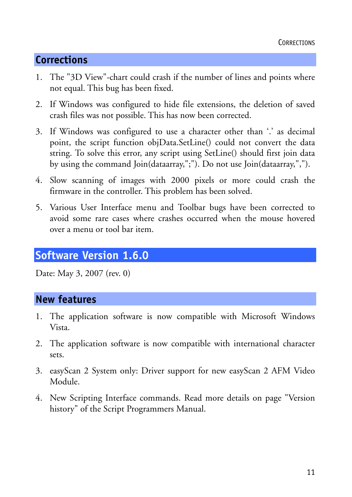# **Corrections**

- 1. The "3D View"-chart could crash if the number of lines and points where not equal. This bug has been fixed.
- 2. If Windows was configured to hide file extensions, the deletion of saved crash files was not possible. This has now been corrected.
- 3. If Windows was configured to use a character other than '.' as decimal point, the script function objData.SetLine() could not convert the data string. To solve this error, any script using SetLine() should first join data by using the command Join(dataarray,";"). Do not use Join(dataarray,",").
- 4. Slow scanning of images with 2000 pixels or more could crash the firmware in the controller. This problem has been solved.
- 5. Various User Interface menu and Toolbar bugs have been corrected to avoid some rare cases where crashes occurred when the mouse hovered over a menu or tool bar item.

# **Software Version 1.6.0**

Date: May 3, 2007 (rev. 0)

- 1. The application software is now compatible with Microsoft Windows Vista.
- 2. The application software is now compatible with international character sets.
- 3. easyScan 2 System only: Driver support for new easyScan 2 AFM Video Module.
- 4. New Scripting Interface commands. Read more details on page "Version history" of the Script Programmers Manual.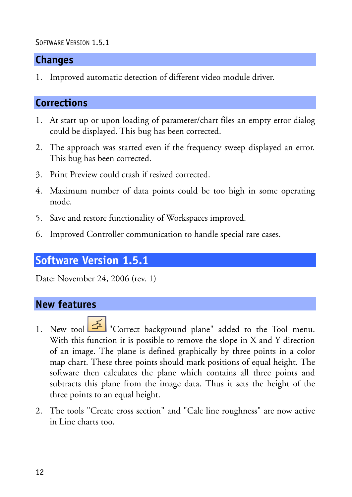#### SOFTWARE VERSION 1.5.1

## **Changes**

1. Improved automatic detection of different video module driver.

# **Corrections**

- 1. At start up or upon loading of parameter/chart files an empty error dialog could be displayed. This bug has been corrected.
- 2. The approach was started even if the frequency sweep displayed an error. This bug has been corrected.
- 3. Print Preview could crash if resized corrected.
- 4. Maximum number of data points could be too high in some operating mode.
- 5. Save and restore functionality of Workspaces improved.
- 6. Improved Controller communication to handle special rare cases.

# **Software Version 1.5.1**

Date: November 24, 2006 (rev. 1)

- 1. New tool "Correct background plane" added to the Tool menu. With this function it is possible to remove the slope in X and Y direction of an image. The plane is defined graphically by three points in a color map chart. These three points should mark positions of equal height. The software then calculates the plane which contains all three points and subtracts this plane from the image data. Thus it sets the height of the three points to an equal height.
- 2. The tools "Create cross section" and "Calc line roughness" are now active in Line charts too.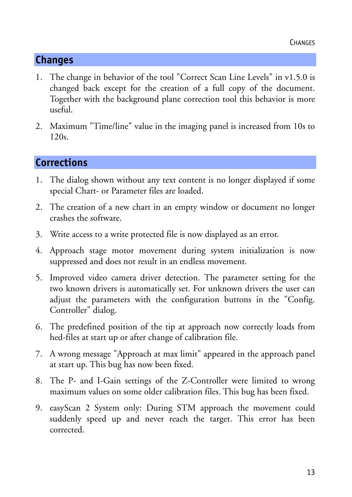# **Changes**

- 1. The change in behavior of the tool "Correct Scan Line Levels" in v1.5.0 is changed back except for the creation of a full copy of the document. Together with the background plane correction tool this behavior is more useful.
- 2. Maximum "Time/line" value in the imaging panel is increased from 10s to 120s.

# **Corrections**

- 1. The dialog shown without any text content is no longer displayed if some special Chart- or Parameter files are loaded.
- 2. The creation of a new chart in an empty window or document no longer crashes the software.
- 3. Write access to a write protected file is now displayed as an error.
- 4. Approach stage motor movement during system initialization is now suppressed and does not result in an endless movement.
- 5. Improved video camera driver detection. The parameter setting for the two known drivers is automatically set. For unknown drivers the user can adjust the parameters with the configuration buttons in the "Config. Controller" dialog.
- 6. The predefined position of the tip at approach now correctly loads from hed-files at start up or after change of calibration file.
- 7. A wrong message "Approach at max limit" appeared in the approach panel at start up. This bug has now been fixed.
- 8. The P- and I-Gain settings of the Z-Controller were limited to wrong maximum values on some older calibration files. This bug has been fixed.
- 9. easyScan 2 System only: During STM approach the movement could suddenly speed up and never reach the target. This error has been corrected.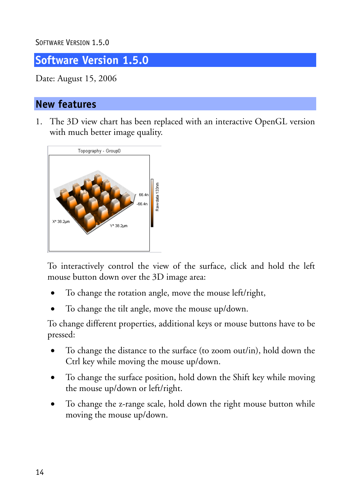<span id="page-13-0"></span>SOFTWARE VERSION 1.5.0

**Software Version 1.5.0** 

Date: August 15, 2006

## **New features**

1. The 3D view chart has been replaced with an interactive OpenGL version with much better image quality.



To interactively control the view of the surface, click and hold the left mouse button down over the 3D image area:

- To change the rotation angle, move the mouse left/right,
- To change the tilt angle, move the mouse up/down.

To change different properties, additional keys or mouse buttons have to be pressed:

- To change the distance to the surface (to zoom out/in), hold down the Ctrl key while moving the mouse up/down.
- To change the surface position, hold down the Shift key while moving the mouse up/down or left/right.
- To change the z-range scale, hold down the right mouse button while moving the mouse up/down.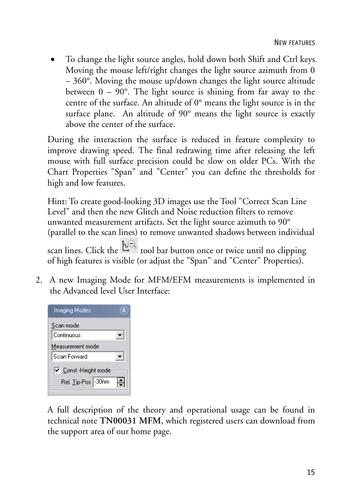• To change the light source angles, hold down both Shift and Ctrl keys. Moving the mouse left/right changes the light source azimuth from 0 – 360°. Moving the mouse up/down changes the light source altitude between  $0 - 90^\circ$ . The light source is shining from far away to the centre of the surface. An altitude of 0° means the light source is in the surface plane. An altitude of 90° means the light source is exactly above the center of the surface.

During the interaction the surface is reduced in feature complexity to improve drawing speed. The final redrawing time after releasing the left mouse with full surface precision could be slow on older PCs. With the Chart Properties "Span" and "Center" you can define the thresholds for high and low features.

Hint: To create good-looking 3D images use the Tool "Correct Scan Line Level" and then the new Glitch and Noise reduction filters to remove unwanted measurement artifacts. Set the light source azimuth to 90° (parallel to the scan lines) to remove unwanted shadows between individual

scan lines. Click the  $\frac{t\sqrt{2}}{t}$  tool bar button once or twice until no clipping of high features is visible (or adjust the "Span" and "Center" Properties).

2. A new Imaging Mode for MFM/EFM measurements is implemented in the Advanced level User Interface:

A full description of the theory and operational usage can be found in technical note **TN00031 MFM**, which registered users can download from the support area of our home page.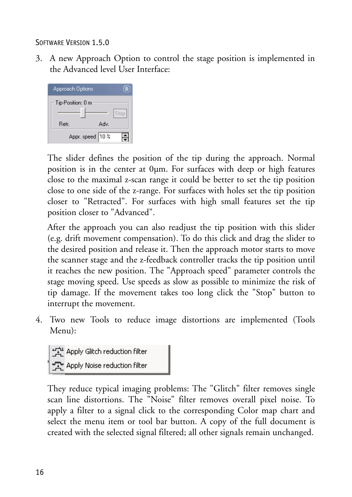SOFTWARE VERSION 1.5.0

3. A new Approach Option to control the stage position is implemented in the Advanced level User Interface:



The slider defines the position of the tip during the approach. Normal position is in the center at 0µm. For surfaces with deep or high features close to the maximal z-scan range it could be better to set the tip position close to one side of the z-range. For surfaces with holes set the tip position closer to "Retracted". For surfaces with high small features set the tip position closer to "Advanced".

After the approach you can also readjust the tip position with this slider (e.g. drift movement compensation). To do this click and drag the slider to the desired position and release it. Then the approach motor starts to move the scanner stage and the z-feedback controller tracks the tip position until it reaches the new position. The "Approach speed" parameter controls the stage moving speed. Use speeds as slow as possible to minimize the risk of tip damage. If the movement takes too long click the "Stop" button to interrupt the movement.

4. Two new Tools to reduce image distortions are implemented (Tools Menu):

또는 Apply Glitch reduction filter<br>또한 Apply Noise reduction filter

They reduce typical imaging problems: The "Glitch" filter removes single scan line distortions. The "Noise" filter removes overall pixel noise. To apply a filter to a signal click to the corresponding Color map chart and select the menu item or tool bar button. A copy of the full document is created with the selected signal filtered; all other signals remain unchanged.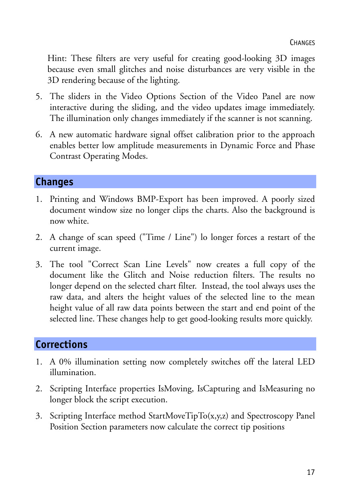Hint: These filters are very useful for creating good-looking 3D images because even small glitches and noise disturbances are very visible in the 3D rendering because of the lighting.

- 5. The sliders in the Video Options Section of the Video Panel are now interactive during the sliding, and the video updates image immediately. The illumination only changes immediately if the scanner is not scanning.
- 6. A new automatic hardware signal offset calibration prior to the approach enables better low amplitude measurements in Dynamic Force and Phase Contrast Operating Modes.

## **Changes**

- 1. Printing and Windows BMP-Export has been improved. A poorly sized document window size no longer clips the charts. Also the background is now white.
- 2. A change of scan speed ("Time / Line") lo longer forces a restart of the current image.
- 3. The tool "Correct Scan Line Levels" now creates a full copy of the document like the Glitch and Noise reduction filters. The results no longer depend on the selected chart filter. Instead, the tool always uses the raw data, and alters the height values of the selected line to the mean height value of all raw data points between the start and end point of the selected line. These changes help to get good-looking results more quickly.

# **Corrections**

- 1. A 0% illumination setting now completely switches off the lateral LED illumination.
- 2. Scripting Interface properties IsMoving, IsCapturing and IsMeasuring no longer block the script execution.
- 3. Scripting Interface method StartMoveTipTo(x,y,z) and Spectroscopy Panel Position Section parameters now calculate the correct tip positions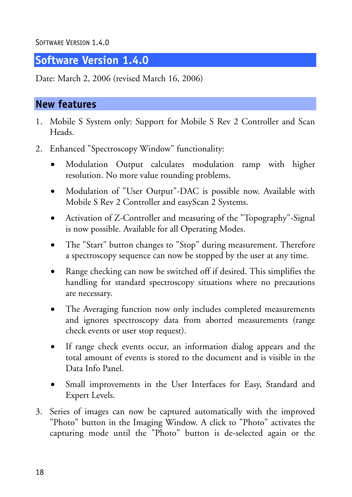<span id="page-17-0"></span>SOFTWARE VERSION 1.4.0

## **Software Version 1.4.0**

Date: March 2, 2006 (revised March 16, 2006)

- 1. Mobile S System only: Support for Mobile S Rev 2 Controller and Scan Heads.
- 2. Enhanced "Spectroscopy Window" functionality:
	- Modulation Output calculates modulation ramp with higher resolution. No more value rounding problems.
	- Modulation of "User Output"-DAC is possible now. Available with Mobile S Rev 2 Controller and easyScan 2 Systems.
	- Activation of Z-Controller and measuring of the "Topography"-Signal is now possible. Available for all Operating Modes.
	- The "Start" button changes to "Stop" during measurement. Therefore a spectroscopy sequence can now be stopped by the user at any time.
	- Range checking can now be switched off if desired. This simplifies the handling for standard spectroscopy situations where no precautions are necessary.
	- The Averaging function now only includes completed measurements and ignores spectroscopy data from aborted measurements (range check events or user stop request).
	- If range check events occur, an information dialog appears and the total amount of events is stored to the document and is visible in the Data Info Panel.
	- Small improvements in the User Interfaces for Easy, Standard and Expert Levels.
- 3. Series of images can now be captured automatically with the improved "Photo" button in the Imaging Window. A click to "Photo" activates the capturing mode until the "Photo" button is de-selected again or the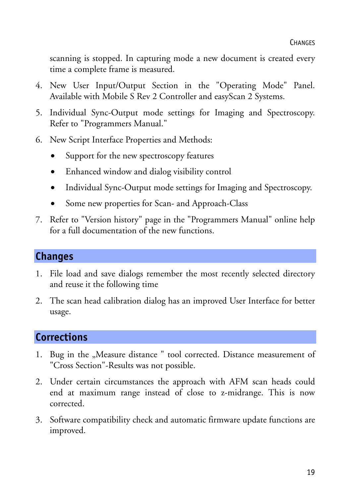scanning is stopped. In capturing mode a new document is created every time a complete frame is measured.

- 4. New User Input/Output Section in the "Operating Mode" Panel. Available with Mobile S Rev 2 Controller and easyScan 2 Systems.
- 5. Individual Sync-Output mode settings for Imaging and Spectroscopy. Refer to "Programmers Manual."
- 6. New Script Interface Properties and Methods:
	- Support for the new spectroscopy features
	- Enhanced window and dialog visibility control
	- Individual Sync-Output mode settings for Imaging and Spectroscopy.
	- Some new properties for Scan- and Approach-Class
- 7. Refer to "Version history" page in the "Programmers Manual" online help for a full documentation of the new functions.

#### **Changes**

- 1. File load and save dialogs remember the most recently selected directory and reuse it the following time
- 2. The scan head calibration dialog has an improved User Interface for better usage.

## **Corrections**

- 1. Bug in the "Measure distance " tool corrected. Distance measurement of "Cross Section"-Results was not possible.
- 2. Under certain circumstances the approach with AFM scan heads could end at maximum range instead of close to z-midrange. This is now corrected.
- 3. Software compatibility check and automatic firmware update functions are improved.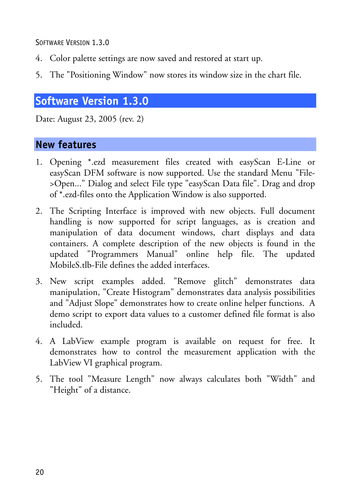<span id="page-19-0"></span>SOFTWARE VERSION 1.3.0

- 4. Color palette settings are now saved and restored at start up.
- 5. The "Positioning Window" now stores its window size in the chart file.

# **Software Version 1.3.0**

Date: August 23, 2005 (rev. 2)

- 1. Opening \*.ezd measurement files created with easyScan E-Line or easyScan DFM software is now supported. Use the standard Menu "File- >Open..." Dialog and select File type "easyScan Data file". Drag and drop of \*.ezd-files onto the Application Window is also supported.
- 2. The Scripting Interface is improved with new objects. Full document handling is now supported for script languages, as is creation and manipulation of data document windows, chart displays and data containers. A complete description of the new objects is found in the updated "Programmers Manual" online help file. The updated MobileS.tlb-File defines the added interfaces.
- 3. New script examples added. "Remove glitch" demonstrates data manipulation, "Create Histogram" demonstrates data analysis possibilities and "Adjust Slope" demonstrates how to create online helper functions. A demo script to export data values to a customer defined file format is also included.
- 4. A LabView example program is available on request for free. It demonstrates how to control the measurement application with the LabView VI graphical program.
- 5. The tool "Measure Length" now always calculates both "Width" and "Height" of a distance.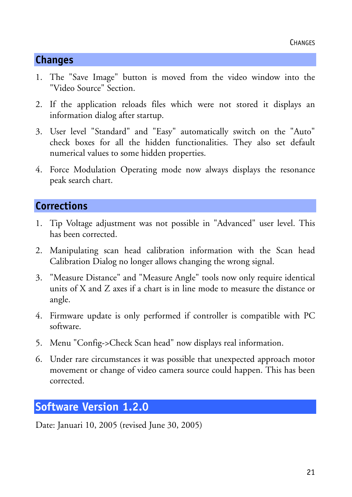# <span id="page-20-0"></span>**Changes**

- 1. The "Save Image" button is moved from the video window into the "Video Source" Section.
- 2. If the application reloads files which were not stored it displays an information dialog after startup.
- 3. User level "Standard" and "Easy" automatically switch on the "Auto" check boxes for all the hidden functionalities. They also set default numerical values to some hidden properties.
- 4. Force Modulation Operating mode now always displays the resonance peak search chart.

# **Corrections**

- 1. Tip Voltage adjustment was not possible in "Advanced" user level. This has been corrected.
- 2. Manipulating scan head calibration information with the Scan head Calibration Dialog no longer allows changing the wrong signal.
- 3. "Measure Distance" and "Measure Angle" tools now only require identical units of X and Z axes if a chart is in line mode to measure the distance or angle.
- 4. Firmware update is only performed if controller is compatible with PC software.
- 5. Menu "Config->Check Scan head" now displays real information.
- 6. Under rare circumstances it was possible that unexpected approach motor movement or change of video camera source could happen. This has been corrected.

# **Software Version 1.2.0**

Date: Januari 10, 2005 (revised June 30, 2005)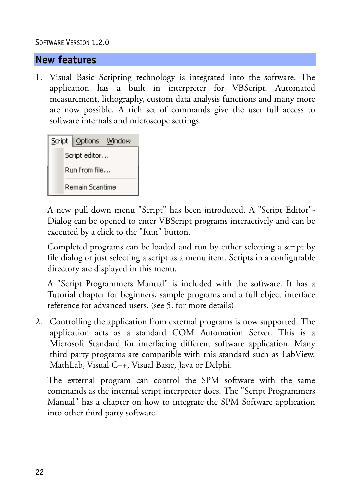#### SOFTWARE VERSION 1.2.0

#### **New features**

1. Visual Basic Scripting technology is integrated into the software. The application has a built in interpreter for VBScript. Automated measurement, lithography, custom data analysis functions and many more are now possible. A rich set of commands give the user full access to software internals and microscope settings.

| Script Options Window |
|-----------------------|
| Script editor         |
| Run from file         |
| Remain Scantime       |

A new pull down menu "Script" has been introduced. A "Script Editor"- Dialog can be opened to enter VBScript programs interactively and can be executed by a click to the "Run" button.

Completed programs can be loaded and run by either selecting a script by file dialog or just selecting a script as a menu item. Scripts in a configurable directory are displayed in this menu.

A "Script Programmers Manual" is included with the software. It has a Tutorial chapter for beginners, sample programs and a full object interface reference for advanced users. (see 5. for more details)

2. Controlling the application from external programs is now supported. The application acts as a standard COM Automation Server. This is a Microsoft Standard for interfacing different software application. Many third party programs are compatible with this standard such as LabView, MathLab, Visual C++, Visual Basic, Java or Delphi.

The external program can control the SPM software with the same commands as the internal script interpreter does. The "Script Programmers Manual" has a chapter on how to integrate the SPM Software application into other third party software.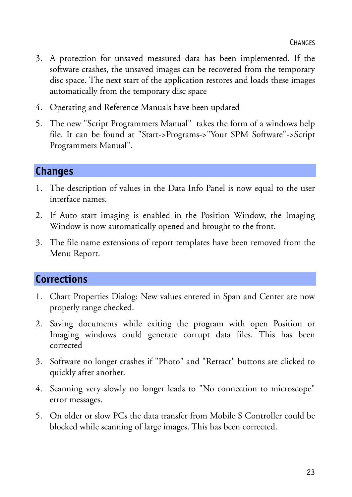- 3. A protection for unsaved measured data has been implemented. If the software crashes, the unsaved images can be recovered from the temporary disc space. The next start of the application restores and loads these images automatically from the temporary disc space
- 4. Operating and Reference Manuals have been updated
- 5. The new "Script Programmers Manual" takes the form of a windows help file. It can be found at "Start->Programs->"Your SPM Software"->Script Programmers Manual".

## **Changes**

- 1. The description of values in the Data Info Panel is now equal to the user interface names.
- 2. If Auto start imaging is enabled in the Position Window, the Imaging Window is now automatically opened and brought to the front.
- 3. The file name extensions of report templates have been removed from the Menu Report.

# **Corrections**

- 1. Chart Properties Dialog: New values entered in Span and Center are now properly range checked.
- 2. Saving documents while exiting the program with open Position or Imaging windows could generate corrupt data files. This has been corrected
- 3. Software no longer crashes if "Photo" and "Retract" buttons are clicked to quickly after another.
- 4. Scanning very slowly no longer leads to "No connection to microscope" error messages.
- 5. On older or slow PCs the data transfer from Mobile S Controller could be blocked while scanning of large images. This has been corrected.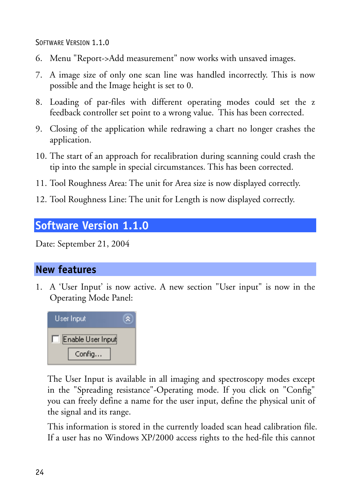<span id="page-23-0"></span>SOFTWARE VERSION 1.1.0

- 6. Menu "Report->Add measurement" now works with unsaved images.
- 7. A image size of only one scan line was handled incorrectly. This is now possible and the Image height is set to 0.
- 8. Loading of par-files with different operating modes could set the z feedback controller set point to a wrong value. This has been corrected.
- 9. Closing of the application while redrawing a chart no longer crashes the application.
- 10. The start of an approach for recalibration during scanning could crash the tip into the sample in special circumstances. This has been corrected.
- 11. Tool Roughness Area: The unit for Area size is now displayed correctly.
- 12. Tool Roughness Line: The unit for Length is now displayed correctly.

# **Software Version 1.1.0**

Date: September 21, 2004

# **New features**

1. A 'User Input' is now active. A new section "User input" is now in the Operating Mode Panel:



The User Input is available in all imaging and spectroscopy modes except in the "Spreading resistance"-Operating mode. If you click on "Config" you can freely define a name for the user input, define the physical unit of the signal and its range.

This information is stored in the currently loaded scan head calibration file. If a user has no Windows XP/2000 access rights to the hed-file this cannot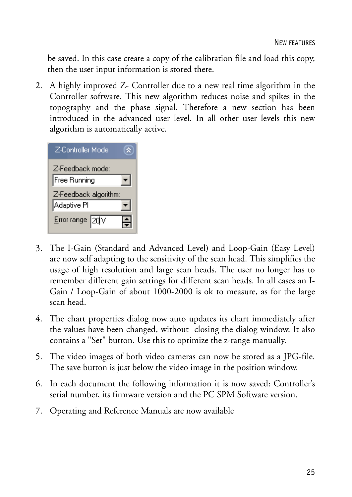be saved. In this case create a copy of the calibration file and load this copy, then the user input information is stored there.

2. A highly improved Z- Controller due to a new real time algorithm in the Controller software. This new algorithm reduces noise and spikes in the topography and the phase signal. Therefore a new section has been introduced in the advanced user level. In all other user levels this new algorithm is automatically active.

| Z-Controller Mode     |  |
|-----------------------|--|
| Z-Feedback mode:      |  |
| Free Running          |  |
| Z-Feedback algorithm: |  |
|                       |  |
| Adaptive Pl           |  |

- 3. The I-Gain (Standard and Advanced Level) and Loop-Gain (Easy Level) are now self adapting to the sensitivity of the scan head. This simplifies the usage of high resolution and large scan heads. The user no longer has to remember different gain settings for different scan heads. In all cases an I-Gain / Loop-Gain of about 1000-2000 is ok to measure, as for the large scan head.
- 4. The chart properties dialog now auto updates its chart immediately after the values have been changed, without closing the dialog window. It also contains a "Set" button. Use this to optimize the z-range manually.
- 5. The video images of both video cameras can now be stored as a JPG-file. The save button is just below the video image in the position window.
- 6. In each document the following information it is now saved: Controller's serial number, its firmware version and the PC SPM Software version.
- 7. Operating and Reference Manuals are now available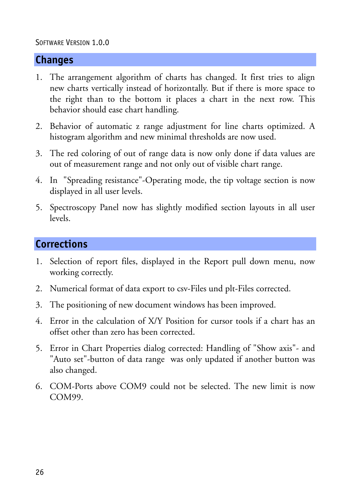#### SOFTWARE VERSION 1.0.0

## **Changes**

- 1. The arrangement algorithm of charts has changed. It first tries to align new charts vertically instead of horizontally. But if there is more space to the right than to the bottom it places a chart in the next row. This behavior should ease chart handling.
- 2. Behavior of automatic z range adjustment for line charts optimized. A histogram algorithm and new minimal thresholds are now used.
- 3. The red coloring of out of range data is now only done if data values are out of measurement range and not only out of visible chart range.
- 4. In "Spreading resistance"-Operating mode, the tip voltage section is now displayed in all user levels.
- 5. Spectroscopy Panel now has slightly modified section layouts in all user levels.

#### **Corrections**

- 1. Selection of report files, displayed in the Report pull down menu, now working correctly.
- 2. Numerical format of data export to csv-Files und plt-Files corrected.
- 3. The positioning of new document windows has been improved.
- 4. Error in the calculation of X/Y Position for cursor tools if a chart has an offset other than zero has been corrected.
- 5. Error in Chart Properties dialog corrected: Handling of "Show axis"- and "Auto set"-button of data range was only updated if another button was also changed.
- 6. COM-Ports above COM9 could not be selected. The new limit is now COM99.